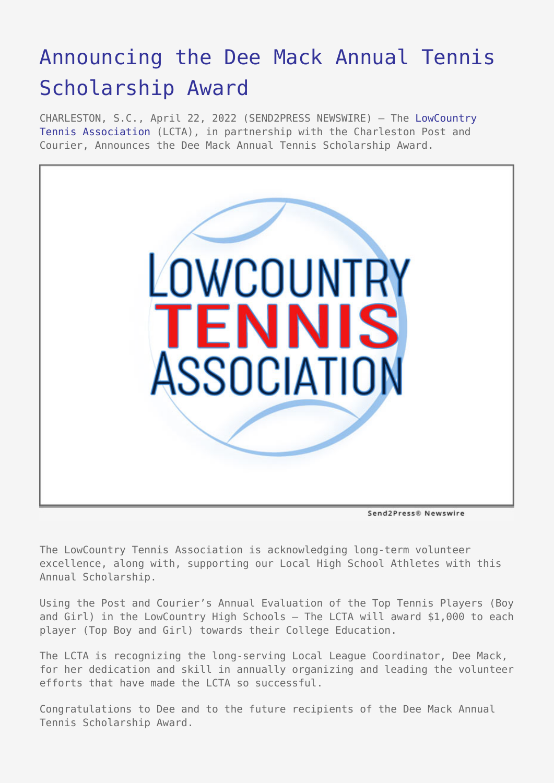## [Announcing the Dee Mack Annual Tennis](https://www.send2press.com/wire/announcing-the-dee-mack-annual-tennis-scholarship-award/) [Scholarship Award](https://www.send2press.com/wire/announcing-the-dee-mack-annual-tennis-scholarship-award/)

CHARLESTON, S.C., April 22, 2022 (SEND2PRESS NEWSWIRE) — The [LowCountry](https://lctatennis.org/) [Tennis Association](https://lctatennis.org/) (LCTA), in partnership with the Charleston Post and Courier, Announces the Dee Mack Annual Tennis Scholarship Award.



Send2Press® Newswire

The LowCountry Tennis Association is acknowledging long-term volunteer excellence, along with, supporting our Local High School Athletes with this Annual Scholarship.

Using the Post and Courier's Annual Evaluation of the Top Tennis Players (Boy and Girl) in the LowCountry High Schools – The LCTA will award \$1,000 to each player (Top Boy and Girl) towards their College Education.

The LCTA is recognizing the long-serving Local League Coordinator, Dee Mack, for her dedication and skill in annually organizing and leading the volunteer efforts that have made the LCTA so successful.

Congratulations to Dee and to the future recipients of the Dee Mack Annual Tennis Scholarship Award.